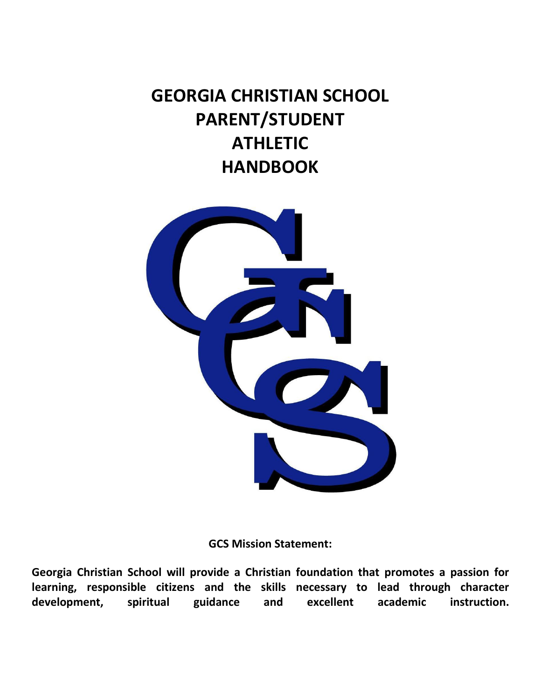# **GEORGIA CHRISTIAN SCHOOL PARENT/STUDENT ATHLETIC HANDBOOK**



**GCS Mission Statement:**

**Georgia Christian School will provide a Christian foundation that promotes a passion for learning, responsible citizens and the skills necessary to lead through character development, spiritual guidance and excellent academic instruction.**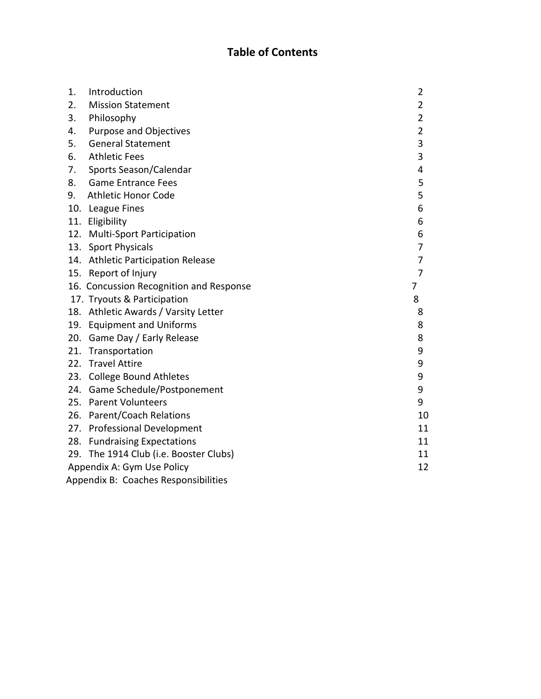# **Table of Contents**

| 1. | Introduction                            | 2              |  |  |
|----|-----------------------------------------|----------------|--|--|
| 2. | <b>Mission Statement</b>                | 2              |  |  |
| 3. | Philosophy                              | $\overline{2}$ |  |  |
| 4. | <b>Purpose and Objectives</b>           | $\overline{2}$ |  |  |
| 5. | <b>General Statement</b>                | 3              |  |  |
| 6. | <b>Athletic Fees</b>                    | 3              |  |  |
| 7. | Sports Season/Calendar                  | 4              |  |  |
| 8. | <b>Game Entrance Fees</b>               | 5              |  |  |
| 9. | <b>Athletic Honor Code</b>              | 5              |  |  |
|    | 10. League Fines                        | 6              |  |  |
|    | 11. Eligibility                         | 6              |  |  |
|    | 12. Multi-Sport Participation           | 6              |  |  |
|    | 13. Sport Physicals                     | 7              |  |  |
|    | 14. Athletic Participation Release      | 7              |  |  |
|    | 15. Report of Injury                    | 7              |  |  |
|    | 16. Concussion Recognition and Response | 7              |  |  |
|    | 17. Tryouts & Participation             | 8              |  |  |
|    | 18. Athletic Awards / Varsity Letter    | 8              |  |  |
|    | 19. Equipment and Uniforms              | 8              |  |  |
|    | 20. Game Day / Early Release            | 8              |  |  |
|    | 21. Transportation                      | 9              |  |  |
|    | 22. Travel Attire                       | 9              |  |  |
|    | 23. College Bound Athletes              | 9              |  |  |
|    | 24. Game Schedule/Postponement          | 9              |  |  |
|    | 25. Parent Volunteers                   | 9              |  |  |
|    | 26. Parent/Coach Relations              | 10             |  |  |
|    | 27. Professional Development            | 11             |  |  |
|    | 28. Fundraising Expectations            | 11             |  |  |
|    | 29. The 1914 Club (i.e. Booster Clubs)  | 11             |  |  |
|    | Appendix A: Gym Use Policy              |                |  |  |
|    | Appendix B: Coaches Responsibilities    |                |  |  |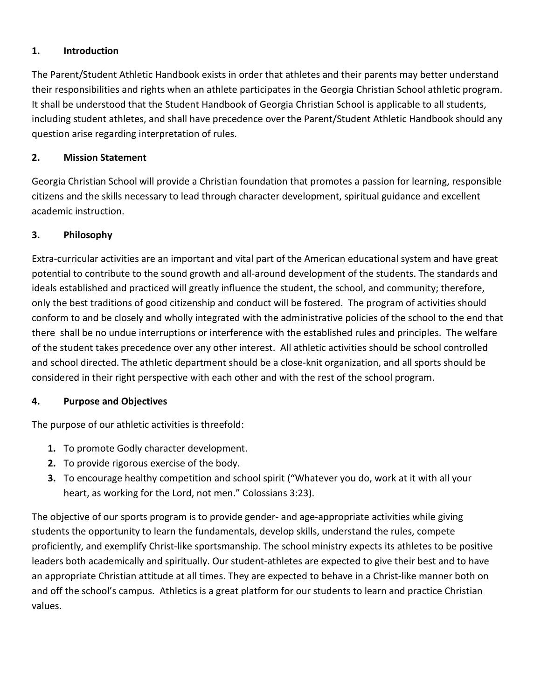# <span id="page-2-0"></span>**1. Introduction**

The Parent/Student Athletic Handbook exists in order that athletes and their parents may better understand their responsibilities and rights when an athlete participates in the Georgia Christian School athletic program. It shall be understood that the Student Handbook of Georgia Christian School is applicable to all students, including student athletes, and shall have precedence over the Parent/Student Athletic Handbook should any question arise regarding interpretation of rules.

### <span id="page-2-1"></span>**2. Mission Statement**

Georgia Christian School will provide a Christian foundation that promotes a passion for learning, responsible citizens and the skills necessary to lead through character development, spiritual guidance and excellent academic instruction.

# <span id="page-2-2"></span>**3. Philosophy**

Extra-curricular activities are an important and vital part of the American educational system and have great potential to contribute to the sound growth and all-around development of the students. The standards and ideals established and practiced will greatly influence the student, the school, and community; therefore, only the best traditions of good citizenship and conduct will be fostered. The program of activities should conform to and be closely and wholly integrated with the administrative policies of the school to the end that there shall be no undue interruptions or interference with the established rules and principles. The welfare of the student takes precedence over any other interest. All athletic activities should be school controlled and school directed. The athletic department should be a close-knit organization, and all sports should be considered in their right perspective with each other and with the rest of the school program.

#### <span id="page-2-3"></span>**4. Purpose and Objectives**

The purpose of our athletic activities is threefold:

- **1.** To promote Godly character development.
- **2.** To provide rigorous exercise of the body.
- **3.** To encourage healthy competition and school spirit ("Whatever you do, work at it with all your heart, as working for the Lord, not men." Colossians 3:23).

The objective of our sports program is to provide gender- and age-appropriate activities while giving students the opportunity to learn the fundamentals, develop skills, understand the rules, compete proficiently, and exemplify Christ-like sportsmanship. The school ministry expects its athletes to be positive leaders both academically and spiritually. Our student-athletes are expected to give their best and to have an appropriate Christian attitude at all times. They are expected to behave in a Christ-like manner both on and off the school's campus. Athletics is a great platform for our students to learn and practice Christian values.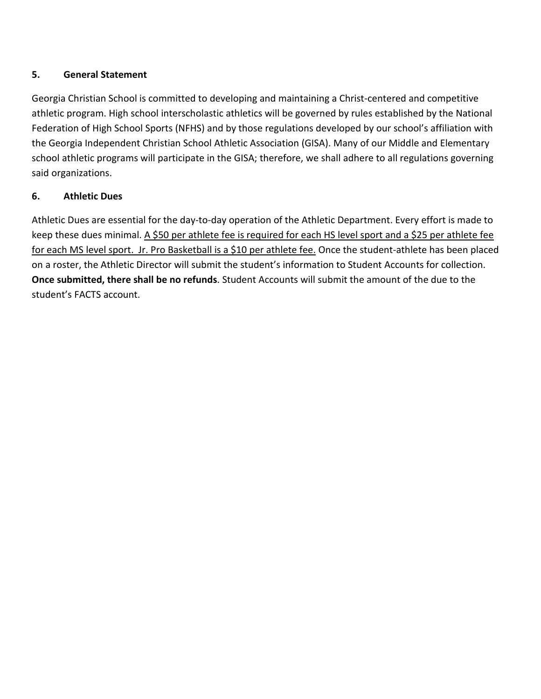# <span id="page-3-0"></span>**5. General Statement**

Georgia Christian School is committed to developing and maintaining a Christ-centered and competitive athletic program. High school interscholastic athletics will be governed by rules established by the National Federation of High School Sports (NFHS) and by those regulations developed by our school's affiliation with the Georgia Independent Christian School Athletic Association (GISA). Many of our Middle and Elementary school athletic programs will participate in the GISA; therefore, we shall adhere to all regulations governing said organizations.

# <span id="page-3-1"></span>**6. Athletic Dues**

Athletic Dues are essential for the day-to-day operation of the Athletic Department. Every effort is made to keep these dues minimal. A \$50 per athlete fee is required for each HS level sport and a \$25 per athlete fee for each MS level sport. Jr. Pro Basketball is a \$10 per athlete fee. Once the student-athlete has been placed on a roster, the Athletic Director will submit the student's information to Student Accounts for collection. **Once submitted, there shall be no refunds**. Student Accounts will submit the amount of the due to the student's FACTS account.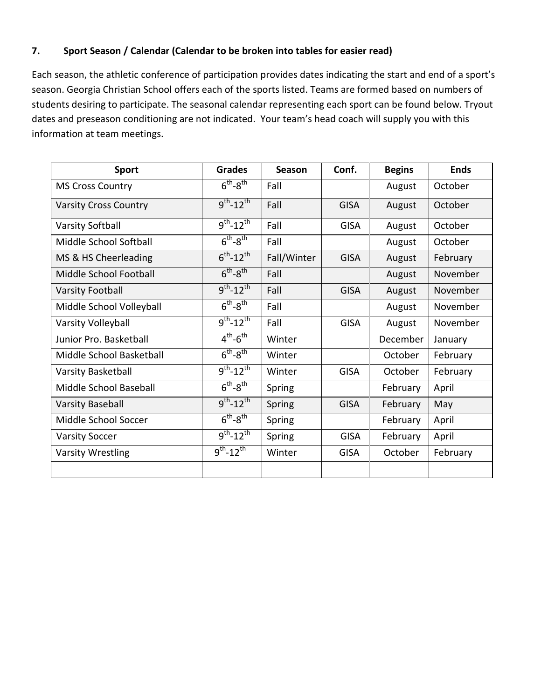# **7. Sport Season / Calendar (Calendar to be broken into tables for easier read)**

Each season, the athletic conference of participation provides dates indicating the start and end of a sport's season. Georgia Christian School offers each of the sports listed. Teams are formed based on numbers of students desiring to participate. The seasonal calendar representing each sport can be found below. Tryout dates and preseason conditioning are not indicated. Your team's head coach will supply you with this information at team meetings.

| <b>Sport</b>                 | <b>Grades</b>                         | <b>Season</b> | Conf.       | <b>Begins</b> | <b>Ends</b> |
|------------------------------|---------------------------------------|---------------|-------------|---------------|-------------|
| <b>MS Cross Country</b>      | $6th-8th$                             | Fall          |             | August        | October     |
| <b>Varsity Cross Country</b> | $9^{th} - 12^{th}$                    | Fall          | <b>GISA</b> | August        | October     |
| <b>Varsity Softball</b>      | $9^{th} - 12^{th}$                    | Fall          | <b>GISA</b> | August        | October     |
| Middle School Softball       | $6^{th} - 8^{th}$                     | Fall          |             | August        | October     |
| MS & HS Cheerleading         | $6^{th} - 12^{th}$                    | Fall/Winter   | <b>GISA</b> | August        | February    |
| Middle School Football       | $6th-8th$                             | Fall          |             | August        | November    |
| <b>Varsity Football</b>      | $9^{th} - 12^{th}$                    | Fall          | <b>GISA</b> | August        | November    |
| Middle School Volleyball     | $6^{th} - 8^{th}$                     | Fall          |             | August        | November    |
| Varsity Volleyball           | $9^{th} - 12^{th}$                    | Fall          | <b>GISA</b> | August        | November    |
| Junior Pro. Basketball       | $4^{th}$ -6 <sup>th</sup>             | Winter        |             | December      | January     |
| Middle School Basketball     | $6^{th} - 8^{th}$                     | Winter        |             | October       | February    |
| Varsity Basketball           | $9^{th} - 12^{th}$                    | Winter        | <b>GISA</b> | October       | February    |
| Middle School Baseball       | $6^{th} - 8^{th}$                     | Spring        |             | February      | April       |
| <b>Varsity Baseball</b>      | $9^{th} - 12^{th}$                    | Spring        | <b>GISA</b> | February      | May         |
| Middle School Soccer         | $6^{th} - 8^{th}$                     | Spring        |             | February      | April       |
| <b>Varsity Soccer</b>        | $\overline{9^{th}}$ -12 <sup>th</sup> | Spring        | <b>GISA</b> | February      | April       |
| <b>Varsity Wrestling</b>     | $9^{th} - 12^{th}$                    | Winter        | <b>GISA</b> | October       | February    |
|                              |                                       |               |             |               |             |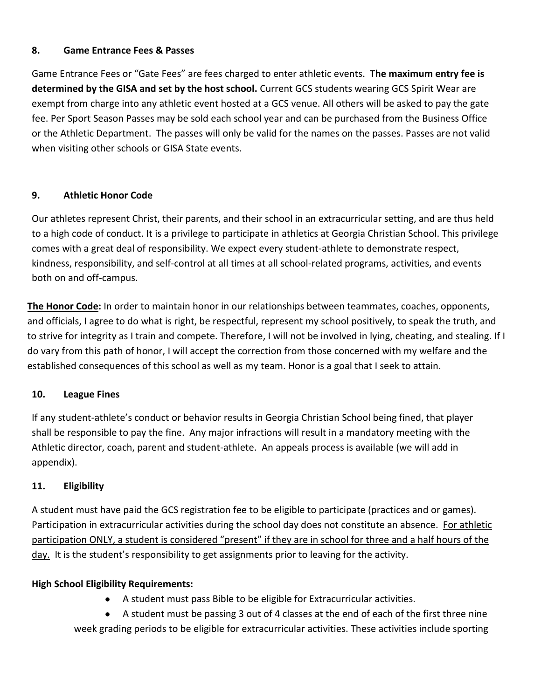#### **8. Game Entrance Fees & Passes**

Game Entrance Fees or "Gate Fees" are fees charged to enter athletic events. **The maximum entry fee is determined by the GISA and set by the host school.** Current GCS students wearing GCS Spirit Wear are exempt from charge into any athletic event hosted at a GCS venue. All others will be asked to pay the gate fee. Per Sport Season Passes may be sold each school year and can be purchased from the Business Office or the Athletic Department. The passes will only be valid for the names on the passes. Passes are not valid when visiting other schools or GISA State events.

#### <span id="page-5-0"></span>**9. Athletic Honor Code**

Our athletes represent Christ, their parents, and their school in an extracurricular setting, and are thus held to a high code of conduct. It is a privilege to participate in athletics at Georgia Christian School. This privilege comes with a great deal of responsibility. We expect every student-athlete to demonstrate respect, kindness, responsibility, and self-control at all times at all school-related programs, activities, and events both on and off-campus.

**The Honor Code:** In order to maintain honor in our relationships between teammates, coaches, opponents, and officials, I agree to do what is right, be respectful, represent my school positively, to speak the truth, and to strive for integrity as I train and compete. Therefore, I will not be involved in lying, cheating, and stealing. If I do vary from this path of honor, I will accept the correction from those concerned with my welfare and the established consequences of this school as well as my team. Honor is a goal that I seek to attain.

#### <span id="page-5-1"></span>**10. League Fines**

If any student-athlete's conduct or behavior results in Georgia Christian School being fined, that player shall be responsible to pay the fine. Any major infractions will result in a mandatory meeting with the Athletic director, coach, parent and student-athlete. An appeals process is available (we will add in appendix).

#### <span id="page-5-2"></span>**11. Eligibility**

A student must have paid the GCS registration fee to be eligible to participate (practices and or games). Participation in extracurricular activities during the school day does not constitute an absence. For athletic participation ONLY, a student is considered "present" if they are in school for three and a half hours of the day. It is the student's responsibility to get assignments prior to leaving for the activity.

#### **High School Eligibility Requirements:**

● A student must pass Bible to be eligible for Extracurricular activities.

● A student must be passing 3 out of 4 classes at the end of each of the first three nine week grading periods to be eligible for extracurricular activities. These activities include sporting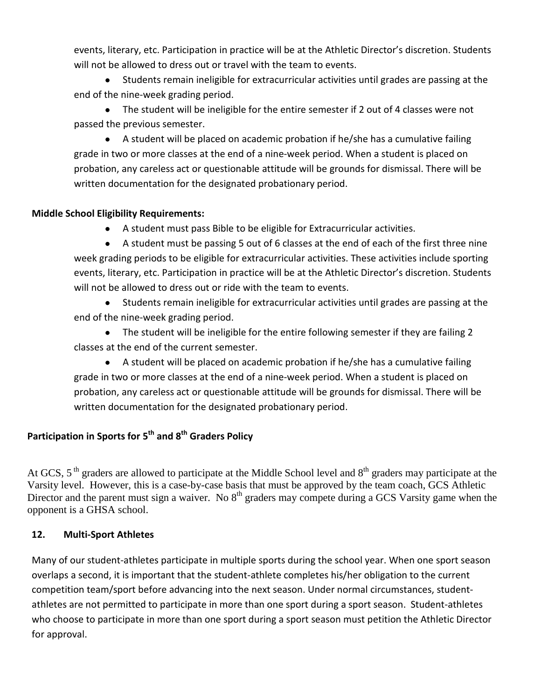events, literary, etc. Participation in practice will be at the Athletic Director's discretion. Students will not be allowed to dress out or travel with the team to events.

● Students remain ineligible for extracurricular activities until grades are passing at the end of the nine-week grading period.

● The student will be ineligible for the entire semester if 2 out of 4 classes were not passed the previous semester.

● A student will be placed on academic probation if he/she has a cumulative failing grade in two or more classes at the end of a nine-week period. When a student is placed on probation, any careless act or questionable attitude will be grounds for dismissal. There will be written documentation for the designated probationary period.

# **Middle School Eligibility Requirements:**

A student must pass Bible to be eligible for Extracurricular activities.

A student must be passing 5 out of 6 classes at the end of each of the first three nine week grading periods to be eligible for extracurricular activities. These activities include sporting events, literary, etc. Participation in practice will be at the Athletic Director's discretion. Students will not be allowed to dress out or ride with the team to events.

● Students remain ineligible for extracurricular activities until grades are passing at the end of the nine-week grading period.

● The student will be ineligible for the entire following semester if they are failing 2 classes at the end of the current semester.

● A student will be placed on academic probation if he/she has a cumulative failing grade in two or more classes at the end of a nine-week period. When a student is placed on probation, any careless act or questionable attitude will be grounds for dismissal. There will be written documentation for the designated probationary period.

# **Participation in Sports for 5th and 8th Graders Policy**

At GCS,  $5<sup>th</sup>$  graders are allowed to participate at the Middle School level and  $8<sup>th</sup>$  graders may participate at the Varsity level. However, this is a case-by-case basis that must be approved by the team coach, GCS Athletic Director and the parent must sign a waiver. No 8<sup>th</sup> graders may compete during a GCS Varsity game when the opponent is a GHSA school.

#### **12. Multi-Sport Athletes**

Many of our student-athletes participate in multiple sports during the school year. When one sport season overlaps a second, it is important that the student-athlete completes his/her obligation to the current competition team/sport before advancing into the next season. Under normal circumstances, studentathletes are not permitted to participate in more than one sport during a sport season. Student-athletes who choose to participate in more than one sport during a sport season must petition the Athletic Director for approval.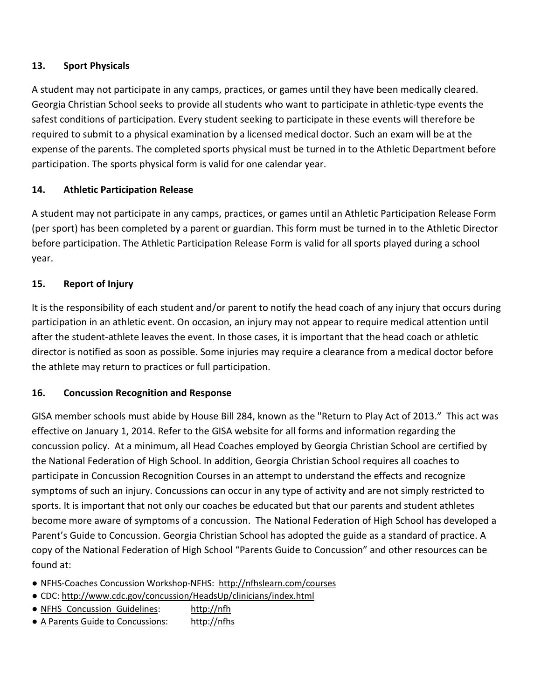# <span id="page-7-0"></span>**13. Sport Physicals**

A student may not participate in any camps, practices, or games until they have been medically cleared. Georgia Christian School seeks to provide all students who want to participate in athletic-type events the safest conditions of participation. Every student seeking to participate in these events will therefore be required to submit to a physical examination by a licensed medical doctor. Such an exam will be at the expense of the parents. The completed sports physical must be turned in to the Athletic Department before participation. The sports physical form is valid for one calendar year.

# <span id="page-7-1"></span>**14. Athletic Participation Release**

A student may not participate in any camps, practices, or games until an Athletic Participation Release Form (per sport) has been completed by a parent or guardian. This form must be turned in to the Athletic Director before participation. The Athletic Participation Release Form is valid for all sports played during a school year.

# <span id="page-7-2"></span>**15. Report of Injury**

It is the responsibility of each student and/or parent to notify the head coach of any injury that occurs during participation in an athletic event. On occasion, an injury may not appear to require medical attention until after the student-athlete leaves the event. In those cases, it is important that the head coach or athletic director is notified as soon as possible. Some injuries may require a clearance from a medical doctor before the athlete may return to practices or full participation.

#### **16. Concussion Recognition and Response**

GISA member schools must abide by House Bill 284, known as the "Return to Play Act of 2013." This act was effective on January 1, 2014. Refer to the GISA website for all forms and information regarding the concussion policy. At a minimum, all Head Coaches employed by Georgia Christian School are certified by the National Federation of High School. In addition, Georgia Christian School requires all coaches to participate in Concussion Recognition Courses in an attempt to understand the effects and recognize symptoms of such an injury. Concussions can occur in any type of activity and are not simply restricted to sports. It is important that not only our coaches be educated but that our parents and student athletes become more aware of symptoms of a concussion. The National Federation of High School has developed a Parent's Guide to Concussion. Georgia Christian School has adopted the guide as a standard of practice. A copy of the National Federation of High School "Parents Guide to Concussion" and other resources can be found at:

- NFHS-Coaches Concussion Workshop-NFHS:<http://nfhslearn.com/courses>
- CDC:<http://www.cdc.gov/concussion/HeadsUp/clinicians/index.html>
- NFHS Concussion Guidelines: [http://nfh](http://nfh/)
- [A Parents Guide to Concussions:](http://www.gicaasports.com/wp-content/uploads/2013/05/A-Parents-Guide-to-Concussions.pdf) [http://nfhs](http://nfhs/)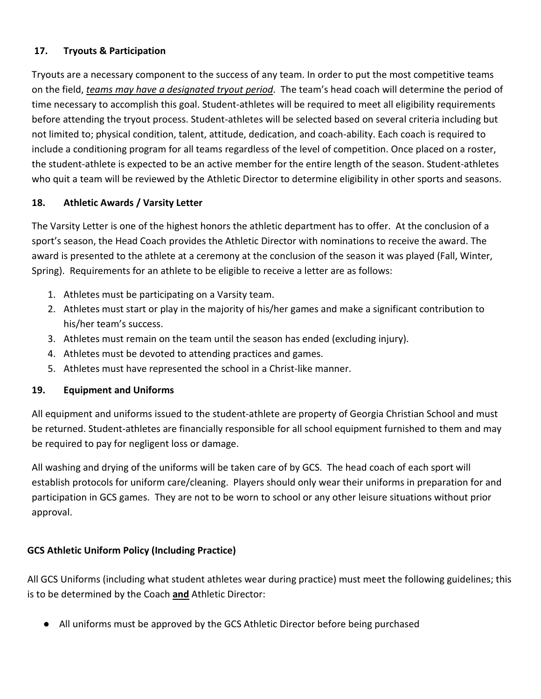# **17. Tryouts & Participation**

Tryouts are a necessary component to the success of any team. In order to put the most competitive teams on the field, *teams may have a designated tryout period*. The team's head coach will determine the period of time necessary to accomplish this goal. Student-athletes will be required to meet all eligibility requirements before attending the tryout process. Student-athletes will be selected based on several criteria including but not limited to; physical condition, talent, attitude, dedication, and coach-ability. Each coach is required to include a conditioning program for all teams regardless of the level of competition. Once placed on a roster, the student-athlete is expected to be an active member for the entire length of the season. Student-athletes who quit a team will be reviewed by the Athletic Director to determine eligibility in other sports and seasons.

# <span id="page-8-0"></span>**18. Athletic Awards / Varsity Letter**

The Varsity Letter is one of the highest honors the athletic department has to offer. At the conclusion of a sport's season, the Head Coach provides the Athletic Director with nominations to receive the award. The award is presented to the athlete at a ceremony at the conclusion of the season it was played (Fall, Winter, Spring). Requirements for an athlete to be eligible to receive a letter are as follows:

- 1. Athletes must be participating on a Varsity team.
- 2. Athletes must start or play in the majority of his/her games and make a significant contribution to his/her team's success.
- 3. Athletes must remain on the team until the season has ended (excluding injury).
- 4. Athletes must be devoted to attending practices and games.
- 5. Athletes must have represented the school in a Christ-like manner.

#### <span id="page-8-1"></span>**19. Equipment and Uniforms**

All equipment and uniforms issued to the student-athlete are property of Georgia Christian School and must be returned. Student-athletes are financially responsible for all school equipment furnished to them and may be required to pay for negligent loss or damage.

All washing and drying of the uniforms will be taken care of by GCS. The head coach of each sport will establish protocols for uniform care/cleaning. Players should only wear their uniforms in preparation for and participation in GCS games. They are not to be worn to school or any other leisure situations without prior approval.

# **GCS Athletic Uniform Policy (Including Practice)**

All GCS Uniforms (including what student athletes wear during practice) must meet the following guidelines; this is to be determined by the Coach **and** Athletic Director:

● All uniforms must be approved by the GCS Athletic Director before being purchased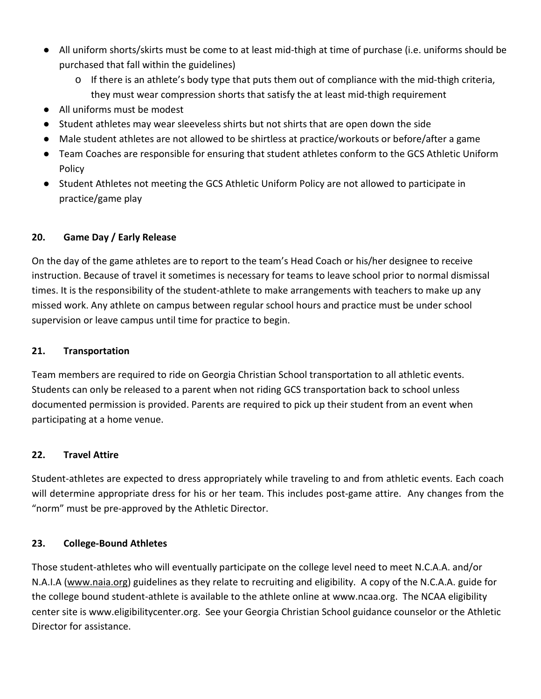- All uniform shorts/skirts must be come to at least mid-thigh at time of purchase (i.e. uniforms should be purchased that fall within the guidelines)
	- $\circ$  If there is an athlete's body type that puts them out of compliance with the mid-thigh criteria, they must wear compression shorts that satisfy the at least mid-thigh requirement
- All uniforms must be modest
- Student athletes may wear sleeveless shirts but not shirts that are open down the side
- Male student athletes are not allowed to be shirtless at practice/workouts or before/after a game
- Team Coaches are responsible for ensuring that student athletes conform to the GCS Athletic Uniform Policy
- Student Athletes not meeting the GCS Athletic Uniform Policy are not allowed to participate in practice/game play

#### <span id="page-9-0"></span>**20. Game Day / Early Release**

On the day of the game athletes are to report to the team's Head Coach or his/her designee to receive instruction. Because of travel it sometimes is necessary for teams to leave school prior to normal dismissal times. It is the responsibility of the student-athlete to make arrangements with teachers to make up any missed work. Any athlete on campus between regular school hours and practice must be under school supervision or leave campus until time for practice to begin.

#### <span id="page-9-1"></span>**21. Transportation**

Team members are required to ride on Georgia Christian School transportation to all athletic events. Students can only be released to a parent when not riding GCS transportation back to school unless documented permission is provided. Parents are required to pick up their student from an event when participating at a home venue.

#### <span id="page-9-2"></span>**22. Travel Attire**

Student-athletes are expected to dress appropriately while traveling to and from athletic events. Each coach will determine appropriate dress for his or her team. This includes post-game attire. Any changes from the "norm" must be pre-approved by the Athletic Director.

#### <span id="page-9-3"></span>**23. College-Bound Athletes**

Those student-athletes who will eventually participate on the college level need to meet N.C.A.A. and/or N.A.I.A [\(www.naia.org\)](about:blank) guidelines as they relate to recruiting and eligibility. A copy of the N.C.A.A. guide for the college bound student-athlete is available to the athlete online at [www.ncaa.org.](http://www.ncaa.org/) The NCAA eligibility center site is [www.eligibilitycenter.org.](http://www.eligibilitycenter.org/) See your Georgia Christian School guidance counselor or the Athletic Director for assistance.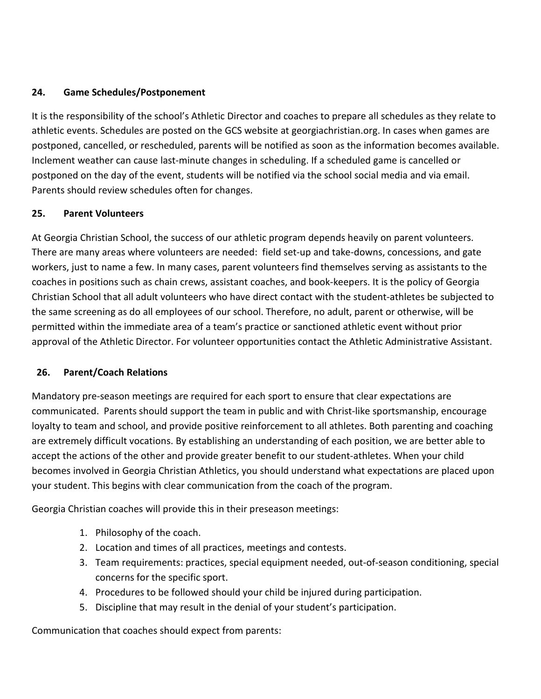#### **24. Game Schedules/Postponement**

It is the responsibility of the school's Athletic Director and coaches to prepare all schedules as they relate to athletic events. Schedules are posted on the GCS website at georgiachristian.org. In cases when games are postponed, cancelled, or rescheduled, parents will be notified as soon as the information becomes available. Inclement weather can cause last-minute changes in scheduling. If a scheduled game is cancelled or postponed on the day of the event, students will be notified via the school social media and via email. Parents should review schedules often for changes.

# <span id="page-10-0"></span>**25. Parent Volunteers**

At Georgia Christian School, the success of our athletic program depends heavily on parent volunteers. There are many areas where volunteers are needed: field set-up and take-downs, concessions, and gate workers, just to name a few. In many cases, parent volunteers find themselves serving as assistants to the coaches in positions such as chain crews, assistant coaches, and book-keepers. It is the policy of Georgia Christian School that all adult volunteers who have direct contact with the student-athletes be subjected to the same screening as do all employees of our school. Therefore, no adult, parent or otherwise, will be permitted within the immediate area of a team's practice or sanctioned athletic event without prior approval of the Athletic Director. For volunteer opportunities contact the Athletic Administrative Assistant.

#### <span id="page-10-1"></span>**26. Parent/Coach Relations**

Mandatory pre-season meetings are required for each sport to ensure that clear expectations are communicated. Parents should support the team in public and with Christ-like sportsmanship, encourage loyalty to team and school, and provide positive reinforcement to all athletes. Both parenting and coaching are extremely difficult vocations. By establishing an understanding of each position, we are better able to accept the actions of the other and provide greater benefit to our student-athletes. When your child becomes involved in Georgia Christian Athletics, you should understand what expectations are placed upon your student. This begins with clear communication from the coach of the program.

Georgia Christian coaches will provide this in their preseason meetings:

- 1. Philosophy of the coach.
- 2. Location and times of all practices, meetings and contests.
- 3. Team requirements: practices, special equipment needed, out-of-season conditioning, special concerns for the specific sport.
- 4. Procedures to be followed should your child be injured during participation.
- 5. Discipline that may result in the denial of your student's participation.

Communication that coaches should expect from parents: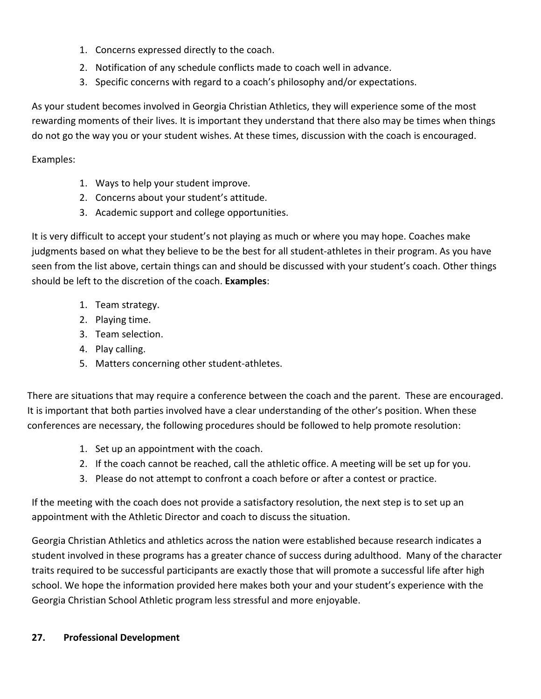- 1. Concerns expressed directly to the coach.
- 2. Notification of any schedule conflicts made to coach well in advance.
- 3. Specific concerns with regard to a coach's philosophy and/or expectations.

As your student becomes involved in Georgia Christian Athletics, they will experience some of the most rewarding moments of their lives. It is important they understand that there also may be times when things do not go the way you or your student wishes. At these times, discussion with the coach is encouraged.

Examples:

- 1. Ways to help your student improve.
- 2. Concerns about your student's attitude.
- 3. Academic support and college opportunities.

It is very difficult to accept your student's not playing as much or where you may hope. Coaches make judgments based on what they believe to be the best for all student-athletes in their program. As you have seen from the list above, certain things can and should be discussed with your student's coach. Other things should be left to the discretion of the coach. **Examples**:

- 1. Team strategy.
- 2. Playing time.
- 3. Team selection.
- 4. Play calling.
- 5. Matters concerning other student-athletes.

There are situations that may require a conference between the coach and the parent. These are encouraged. It is important that both parties involved have a clear understanding of the other's position. When these conferences are necessary, the following procedures should be followed to help promote resolution:

- 1. Set up an appointment with the coach.
- 2. If the coach cannot be reached, call the athletic office. A meeting will be set up for you.
- 3. Please do not attempt to confront a coach before or after a contest or practice.

If the meeting with the coach does not provide a satisfactory resolution, the next step is to set up an appointment with the Athletic Director and coach to discuss the situation.

Georgia Christian Athletics and athletics across the nation were established because research indicates a student involved in these programs has a greater chance of success during adulthood. Many of the character traits required to be successful participants are exactly those that will promote a successful life after high school. We hope the information provided here makes both your and your student's experience with the Georgia Christian School Athletic program less stressful and more enjoyable.

#### <span id="page-11-0"></span>**27. Professional Development**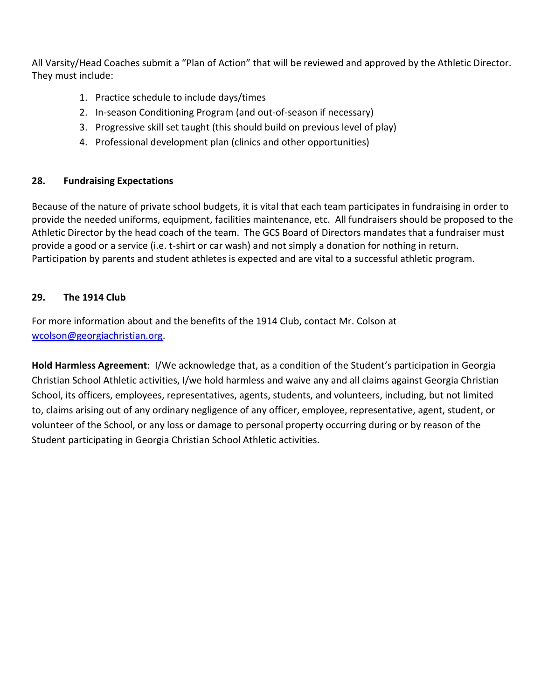All Varsity/Head Coaches submit a "Plan of Action" that will be reviewed and approved by the Athletic Director. They must include:

- 1. Practice schedule to include days/times
- 2. In-season Conditioning Program (and out-of-season if necessary)
- 3. Progressive skill set taught (this should build on previous level of play)
- 4. Professional development plan (clinics and other opportunities)

# **28. Fundraising Expectations**

Because of the nature of private school budgets, it is vital that each team participates in fundraising in order to provide the needed uniforms, equipment, facilities maintenance, etc. All fundraisers should be proposed to the Athletic Director by the head coach of the team. The GCS Board of Directors mandates that a fundraiser must provide a good or a service (i.e. t-shirt or car wash) and not simply a donation for nothing in return. Participation by parents and student athletes is expected and are vital to a successful athletic program.

# **29. The 1914 Club**

For more information about and the benefits of the 1914 Club, contact Mr. Colson at [wcolson@georgiachristian.org.](mailto:wcolson@georgiachristian.org)

**Hold Harmless Agreement**: I/We acknowledge that, as a condition of the Student's participation in Georgia Christian School Athletic activities, I/we hold harmless and waive any and all claims against Georgia Christian School, its officers, employees, representatives, agents, students, and volunteers, including, but not limited to, claims arising out of any ordinary negligence of any officer, employee, representative, agent, student, or volunteer of the School, or any loss or damage to personal property occurring during or by reason of the Student participating in Georgia Christian School Athletic activities.